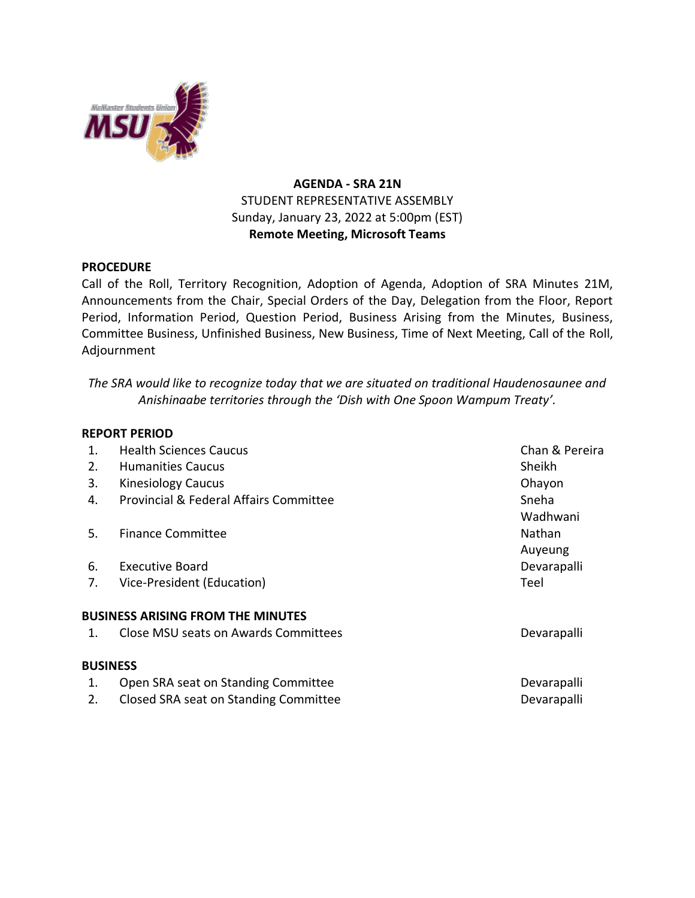

## **AGENDA - SRA 21N** STUDENT REPRESENTATIVE ASSEMBLY Sunday, January 23, 2022 at 5:00pm (EST) **Remote Meeting, Microsoft Teams**

## **PROCEDURE**

Call of the Roll, Territory Recognition, Adoption of Agenda, Adoption of SRA Minutes 21M, Announcements from the Chair, Special Orders of the Day, Delegation from the Floor, Report Period, Information Period, Question Period, Business Arising from the Minutes, Business, Committee Business, Unfinished Business, New Business, Time of Next Meeting, Call of the Roll, Adjournment

*The SRA would like to recognize today that we are situated on traditional Haudenosaunee and Anishinaabe territories through the 'Dish with One Spoon Wampum Treaty'.*

## **REPORT PERIOD**

| 1. | <b>Health Sciences Caucus</b>                     | Chan & Pereira |
|----|---------------------------------------------------|----------------|
| 2. | <b>Humanities Caucus</b>                          | Sheikh         |
| 3. | <b>Kinesiology Caucus</b>                         | Ohayon         |
| 4. | <b>Provincial &amp; Federal Affairs Committee</b> | Sneha          |
|    |                                                   | Wadhwani       |
| 5. | <b>Finance Committee</b>                          | Nathan         |
|    |                                                   | Auyeung        |
| 6. | <b>Executive Board</b>                            | Devarapalli    |
| 7. | Vice-President (Education)                        | Teel           |
|    | <b>BUSINESS ARISING FROM THE MINUTES</b>          |                |
| 1. | Close MSU seats on Awards Committees              | Devarapalli    |
|    | <b>BUSINESS</b>                                   |                |
| 1. | Open SRA seat on Standing Committee               | Devarapalli    |
| 2. | Closed SRA seat on Standing Committee             | Devarapalli    |